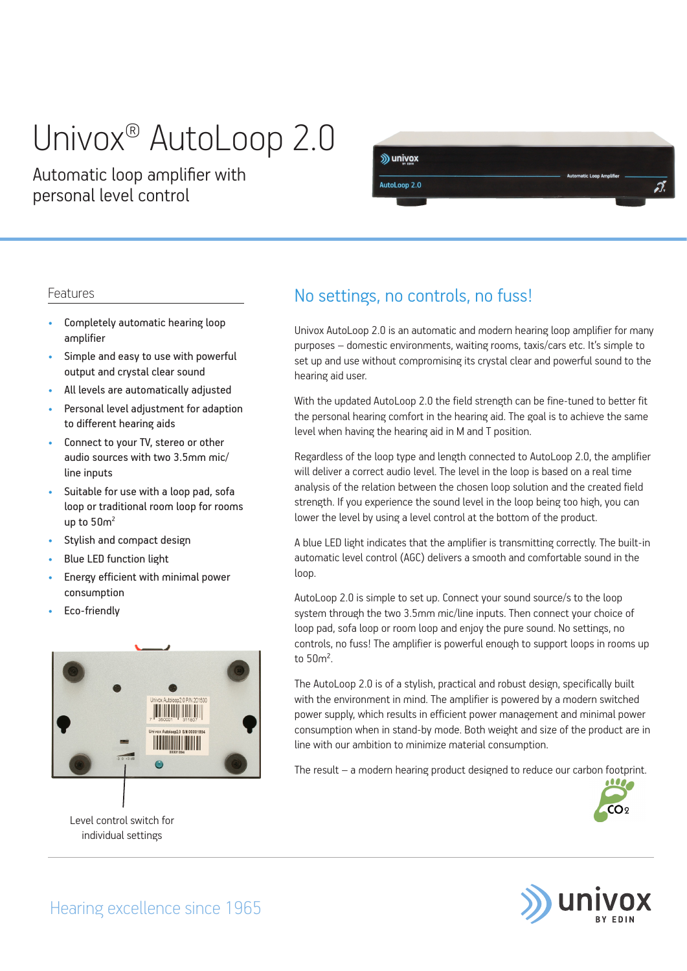# Univox® AutoLoop 2.0

Automatic loop amplifier with personal level control



#### Features

- Completely automatic hearing loop amplifier
- Simple and easy to use with powerful output and crystal clear sound
- All levels are automatically adjusted
- Personal level adjustment for adaption to different hearing aids
- Connect to your TV, stereo or other audio sources with two 3.5mm mic/ line inputs
- Suitable for use with a loop pad, sofa loop or traditional room loop for rooms up to  $50<sup>2</sup>$
- Stylish and compact design
- Blue LED function light
- Energy efficient with minimal power consumption
- Eco-friendly



Level control switch for individual settings

### No settings, no controls, no fuss!

Univox AutoLoop 2.0 is an automatic and modern hearing loop amplifier for many purposes – domestic environments, waiting rooms, taxis/cars etc. It's simple to set up and use without compromising its crystal clear and powerful sound to the hearing aid user.

With the updated AutoLoop 2.0 the field strength can be fine-tuned to better fit the personal hearing comfort in the hearing aid. The goal is to achieve the same level when having the hearing aid in M and T position.

Regardless of the loop type and length connected to AutoLoop 2.0, the amplifier will deliver a correct audio level. The level in the loop is based on a real time analysis of the relation between the chosen loop solution and the created field strength. If you experience the sound level in the loop being too high, you can lower the level by using a level control at the bottom of the product.

A blue LED light indicates that the amplifier is transmitting correctly. The built-in automatic level control (AGC) delivers a smooth and comfortable sound in the loop.

AutoLoop 2.0 is simple to set up. Connect your sound source/s to the loop system through the two 3.5mm mic/line inputs. Then connect your choice of loop pad, sofa loop or room loop and enjoy the pure sound. No settings, no controls, no fuss! The amplifier is powerful enough to support loops in rooms up to 50m².

The AutoLoop 2.0 is of a stylish, practical and robust design, specifically built with the environment in mind. The amplifier is powered by a modern switched power supply, which results in efficient power management and minimal power consumption when in stand-by mode. Both weight and size of the product are in line with our ambition to minimize material consumption.

The result – a modern hearing product designed to reduce our carbon footprint.